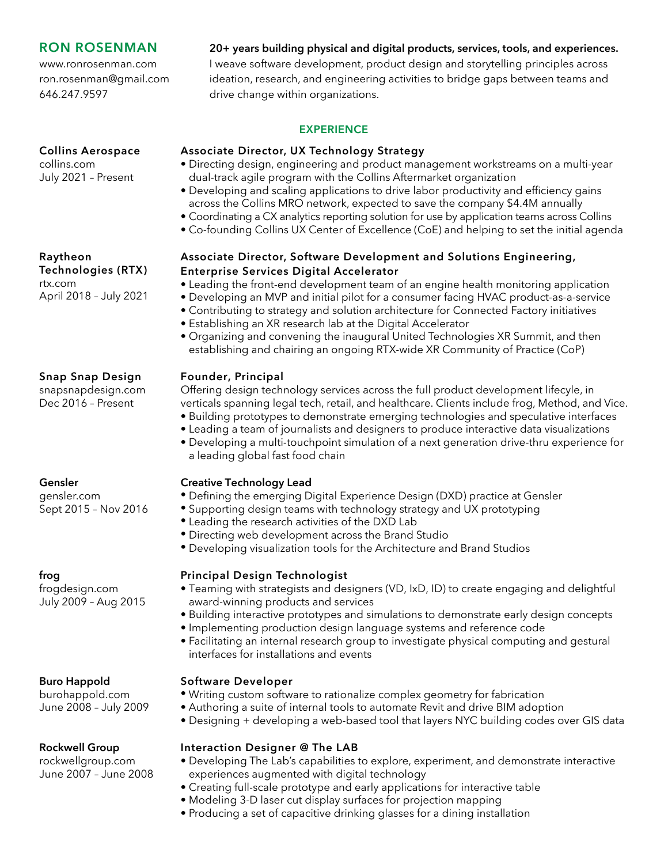# **RON ROSENMAN**

**Collins Aerospace**

July 2021 – Present

www.ronrosenman.com ron.rosenman@gmail.com 646.247.9597

# **20+ years building physical and digital products, services, tools, and experiences.**

I weave software development, product design and storytelling principles across ideation, research, and engineering activities to bridge gaps between teams and drive change within organizations.

## **EXPERIENCE**

## **Associate Director, UX Technology Strategy**

- Directing design, engineering and product management workstreams on a multi-year dual-track agile program with the Collins Aftermarket organization
- Developing and scaling applications to drive labor productivity and efficiency gains across the Collins MRO network, expected to save the company \$4.4M annually
- Coordinating a CX analytics reporting solution for use by application teams across Collins
- Co-founding Collins UX Center of Excellence (CoE) and helping to set the initial agenda

## **Associate Director, Software Development and Solutions Engineering, Enterprise Services Digital Accelerator**

- Leading the front-end development team of an engine health monitoring application
- Developing an MVP and initial pilot for a consumer facing HVAC product-as-a-service
- Contributing to strategy and solution architecture for Connected Factory initiatives
- Establishing an XR research lab at the Digital Accelerator
- Organizing and convening the inaugural United Technologies XR Summit, and then establishing and chairing an ongoing RTX-wide XR Community of Practice (CoP)

# **Founder, Principal**

Offering design technology services across the full product development lifecyle, in verticals spanning legal tech, retail, and healthcare. Clients include frog, Method, and Vice.

- Building prototypes to demonstrate emerging technologies and speculative interfaces
- Leading a team of journalists and designers to produce interactive data visualizations
- Developing a multi-touchpoint simulation of a next generation drive-thru experience for a leading global fast food chain

# **Creative Technology Lead**

- Defining the emerging Digital Experience Design (DXD) practice at Gensler
- Supporting design teams with technology strategy and UX prototyping
- Leading the research activities of the DXD Lab
- Directing web development across the Brand Studio
- Developing visualization tools for the Architecture and Brand Studios

## **Principal Design Technologist**

- Teaming with strategists and designers (VD, IxD, ID) to create engaging and delightful award-winning products and services
- Building interactive prototypes and simulations to demonstrate early design concepts
- Implementing production design language systems and reference code
- Facilitating an internal research group to investigate physical computing and gestural interfaces for installations and events

## **Software Developer**

- Writing custom software to rationalize complex geometry for fabrication
- Authoring a suite of internal tools to automate Revit and drive BIM adoption
- Designing + developing a web-based tool that layers NYC building codes over GIS data

## **Interaction Designer @ The LAB**

- Developing The Lab's capabilities to explore, experiment, and demonstrate interactive experiences augmented with digital technology
- Creating full-scale prototype and early applications for interactive table
- Modeling 3-D laser cut display surfaces for projection mapping
- Producing a set of capacitive drinking glasses for a dining installation

## **Raytheon**

collins.com

**Technologies (RTX)** rtx.com April 2018 – July 2021

# **Snap Snap Design**

snapsnapdesign.com Dec 2016 – Present

## **Gensler**

gensler.com Sept 2015 – Nov 2016

## **frog**

frogdesign.com July 2009 – Aug 2015

## **Buro Happold**

burohappold.com June 2008 – July 2009

## **Rockwell Group**

rockwellgroup.com June 2007 – June 2008